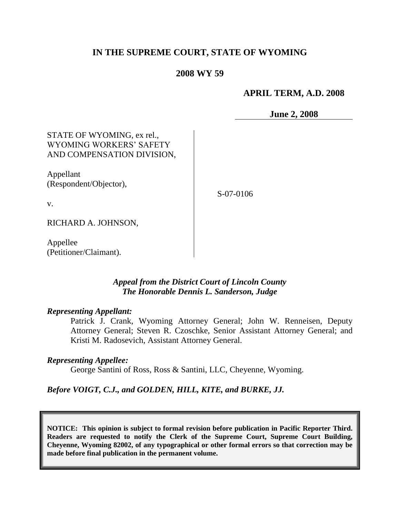# **IN THE SUPREME COURT, STATE OF WYOMING**

### **2008 WY 59**

### **APRIL TERM, A.D. 2008**

**June 2, 2008**

# STATE OF WYOMING, ex rel., WYOMING WORKERS' SAFETY AND COMPENSATION DIVISION,

Appellant (Respondent/Objector),

S-07-0106

RICHARD A. JOHNSON,

v.

Appellee (Petitioner/Claimant).

## *Appeal from the District Court of Lincoln County The Honorable Dennis L. Sanderson, Judge*

#### *Representing Appellant:*

Patrick J. Crank, Wyoming Attorney General; John W. Renneisen, Deputy Attorney General; Steven R. Czoschke, Senior Assistant Attorney General; and Kristi M. Radosevich, Assistant Attorney General.

#### *Representing Appellee:*

George Santini of Ross, Ross & Santini, LLC, Cheyenne, Wyoming.

### *Before VOIGT, C.J., and GOLDEN, HILL, KITE, and BURKE, JJ.*

**NOTICE: This opinion is subject to formal revision before publication in Pacific Reporter Third. Readers are requested to notify the Clerk of the Supreme Court, Supreme Court Building, Cheyenne, Wyoming 82002, of any typographical or other formal errors so that correction may be made before final publication in the permanent volume.**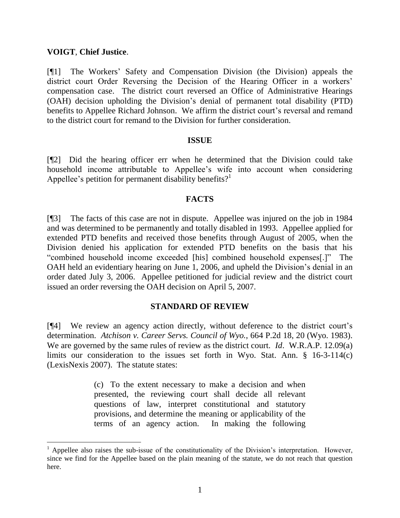# **VOIGT**, **Chief Justice**.

[¶1] The Workers' Safety and Compensation Division (the Division) appeals the district court Order Reversing the Decision of the Hearing Officer in a workers' compensation case. The district court reversed an Office of Administrative Hearings (OAH) decision upholding the Division's denial of permanent total disability (PTD) benefits to Appellee Richard Johnson. We affirm the district court's reversal and remand to the district court for remand to the Division for further consideration.

## **ISSUE**

[¶2] Did the hearing officer err when he determined that the Division could take household income attributable to Appellee's wife into account when considering Appellee's petition for permanent disability benefits?<sup>1</sup>

## **FACTS**

[¶3] The facts of this case are not in dispute. Appellee was injured on the job in 1984 and was determined to be permanently and totally disabled in 1993. Appellee applied for extended PTD benefits and received those benefits through August of 2005, when the Division denied his application for extended PTD benefits on the basis that his "combined household income exceeded [his] combined household expenses[.]" The OAH held an evidentiary hearing on June 1, 2006, and upheld the Division's denial in an order dated July 3, 2006. Appellee petitioned for judicial review and the district court issued an order reversing the OAH decision on April 5, 2007.

## **STANDARD OF REVIEW**

[¶4] We review an agency action directly, without deference to the district court's determination. *Atchison v. Career Servs. Council of Wyo.*, 664 P.2d 18, 20 (Wyo. 1983). We are governed by the same rules of review as the district court. *Id*. W.R.A.P. 12.09(a) limits our consideration to the issues set forth in Wyo. Stat. Ann. § 16-3-114(c) (LexisNexis 2007). The statute states:

> (c) To the extent necessary to make a decision and when presented, the reviewing court shall decide all relevant questions of law, interpret constitutional and statutory provisions, and determine the meaning or applicability of the terms of an agency action. In making the following

<sup>1</sup> Appellee also raises the sub-issue of the constitutionality of the Division's interpretation. However, since we find for the Appellee based on the plain meaning of the statute, we do not reach that question here.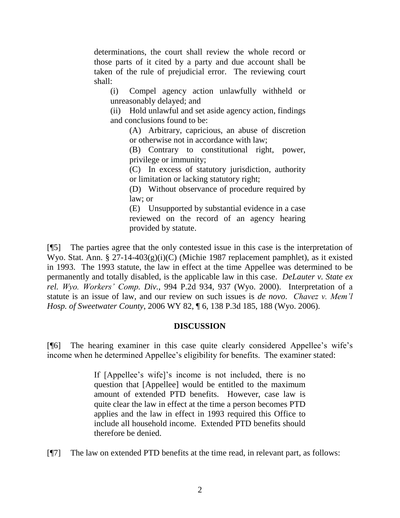determinations, the court shall review the whole record or those parts of it cited by a party and due account shall be taken of the rule of prejudicial error. The reviewing court shall:

(i) Compel agency action unlawfully withheld or unreasonably delayed; and

(ii) Hold unlawful and set aside agency action, findings and conclusions found to be:

(A) Arbitrary, capricious, an abuse of discretion or otherwise not in accordance with law;

(B) Contrary to constitutional right, power, privilege or immunity;

(C) In excess of statutory jurisdiction, authority or limitation or lacking statutory right;

(D) Without observance of procedure required by law; or

(E) Unsupported by substantial evidence in a case reviewed on the record of an agency hearing provided by statute.

[¶5] The parties agree that the only contested issue in this case is the interpretation of Wyo. Stat. Ann. § 27-14-403(g)(i)(C) (Michie 1987 replacement pamphlet), as it existed in 1993. The 1993 statute, the law in effect at the time Appellee was determined to be permanently and totally disabled, is the applicable law in this case. *DeLauter v. State ex rel. Wyo. Workers' Comp. Div.*, 994 P.2d 934, 937 (Wyo. 2000). Interpretation of a statute is an issue of law, and our review on such issues is *de novo*. *Chavez v. Mem'l Hosp. of Sweetwater County*, 2006 WY 82, ¶ 6, 138 P.3d 185, 188 (Wyo. 2006).

# **DISCUSSION**

[¶6] The hearing examiner in this case quite clearly considered Appellee's wife's income when he determined Appellee's eligibility for benefits. The examiner stated:

> If [Appellee's wife]'s income is not included, there is no question that [Appellee] would be entitled to the maximum amount of extended PTD benefits. However, case law is quite clear the law in effect at the time a person becomes PTD applies and the law in effect in 1993 required this Office to include all household income. Extended PTD benefits should therefore be denied.

[¶7] The law on extended PTD benefits at the time read, in relevant part, as follows: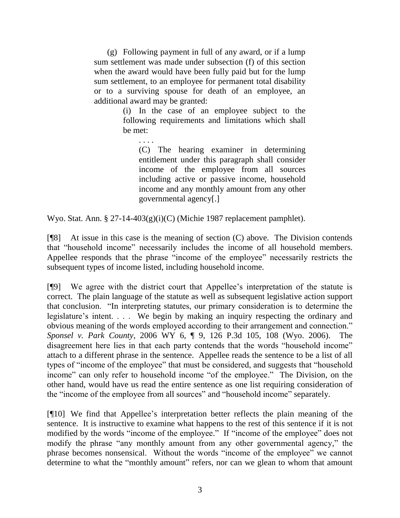(g) Following payment in full of any award, or if a lump sum settlement was made under subsection (f) of this section when the award would have been fully paid but for the lump sum settlement, to an employee for permanent total disability or to a surviving spouse for death of an employee, an additional award may be granted:

> (i) In the case of an employee subject to the following requirements and limitations which shall be met:

. . . . (C) The hearing examiner in determining entitlement under this paragraph shall consider income of the employee from all sources including active or passive income, household income and any monthly amount from any other governmental agency[.]

Wyo. Stat. Ann. § 27-14-403(g)(i)(C) (Michie 1987 replacement pamphlet).

 $[$ <del>[</del>[8] At issue in this case is the meaning of section  $(C)$  above. The Division contends that "household income" necessarily includes the income of all household members. Appellee responds that the phrase "income of the employee" necessarily restricts the subsequent types of income listed, including household income.

[¶9] We agree with the district court that Appellee's interpretation of the statute is correct. The plain language of the statute as well as subsequent legislative action support that conclusion. "In interpreting statutes, our primary consideration is to determine the legislature's intent. . . . We begin by making an inquiry respecting the ordinary and obvious meaning of the words employed according to their arrangement and connection." *Sponsel v. Park County*, 2006 WY 6, ¶ 9, 126 P.3d 105, 108 (Wyo. 2006). The disagreement here lies in that each party contends that the words "household income" attach to a different phrase in the sentence. Appellee reads the sentence to be a list of all types of "income of the employee" that must be considered, and suggests that "household income" can only refer to household income "of the employee." The Division, on the other hand, would have us read the entire sentence as one list requiring consideration of the "income of the employee from all sources" and "household income" separately.

[¶10] We find that Appellee's interpretation better reflects the plain meaning of the sentence. It is instructive to examine what happens to the rest of this sentence if it is not modified by the words "income of the employee." If "income of the employee" does not modify the phrase "any monthly amount from any other governmental agency," the phrase becomes nonsensical. Without the words "income of the employee" we cannot determine to what the "monthly amount" refers, nor can we glean to whom that amount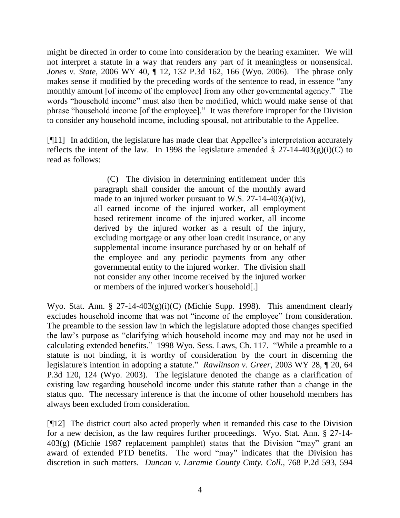might be directed in order to come into consideration by the hearing examiner. We will not interpret a statute in a way that renders any part of it meaningless or nonsensical. *Jones v. State*, 2006 WY 40, ¶ 12, 132 P.3d 162, 166 (Wyo. 2006). The phrase only makes sense if modified by the preceding words of the sentence to read, in essence "any monthly amount [of income of the employee] from any other governmental agency." The words "household income" must also then be modified, which would make sense of that phrase "household income [of the employee]." It was therefore improper for the Division to consider any household income, including spousal, not attributable to the Appellee.

[¶11] In addition, the legislature has made clear that Appellee's interpretation accurately reflects the intent of the law. In 1998 the legislature amended  $\S 27$ -14-403(g)(i)(C) to read as follows:

> (C) The division in determining entitlement under this paragraph shall consider the amount of the monthly award made to an injured worker pursuant to W.S. 27-14-403(a)(iv), all earned income of the injured worker, all employment based retirement income of the injured worker, all income derived by the injured worker as a result of the injury, excluding mortgage or any other loan credit insurance, or any supplemental income insurance purchased by or on behalf of the employee and any periodic payments from any other governmental entity to the injured worker. The division shall not consider any other income received by the injured worker or members of the injured worker's household[.]

Wyo. Stat. Ann. § 27-14-403 $(g)(i)(C)$  (Michie Supp. 1998). This amendment clearly excludes household income that was not "income of the employee" from consideration. The preamble to the session law in which the legislature adopted those changes specified the law's purpose as "clarifying which household income may and may not be used in calculating extended benefits." 1998 Wyo. Sess. Laws, Ch. 117. "While a preamble to a statute is not binding, it is worthy of consideration by the court in discerning the legislature's intention in adopting a statute." *Rawlinson v. Greer*, 2003 WY 28, ¶ 20, 64 P.3d 120, 124 (Wyo. 2003). The legislature denoted the change as a clarification of existing law regarding household income under this statute rather than a change in the status quo. The necessary inference is that the income of other household members has always been excluded from consideration.

[¶12] The district court also acted properly when it remanded this case to the Division for a new decision, as the law requires further proceedings. Wyo. Stat. Ann. § 27-14- 403(g) (Michie 1987 replacement pamphlet) states that the Division "may" grant an award of extended PTD benefits. The word "may" indicates that the Division has discretion in such matters. *Duncan v. Laramie County Cmty. Coll.*, 768 P.2d 593, 594